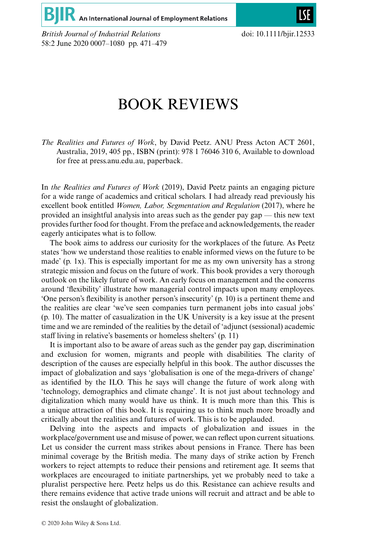*British Journal of Industrial Relations* doi: 10.1111/bjir.12533 58:2 June 2020 0007–1080 pp. 471–479

# BOOK REVIEWS

*The Realities and Futures of Work*, by David Peetz. ANU Press Acton ACT 2601, Australia, 2019, 405 pp., ISBN (print): 978 1 76046 310 6, Available to download for free at press.anu.edu.au, paperback.

In *the Realities and Futures of Work* (2019), David Peetz paints an engaging picture for a wide range of academics and critical scholars. I had already read previously his excellent book entitled *Women, Labor, Segmentation and Regulation* (2017), where he provided an insightful analysis into areas such as the gender pay gap — this new text provides further food for thought. From the preface and acknowledgements, the reader eagerly anticipates what is to follow.

The book aims to address our curiosity for the workplaces of the future. As Peetz states 'how we understand those realities to enable informed views on the future to be made' (p. 1x). This is especially important for me as my own university has a strong strategic mission and focus on the future of work. This book provides a very thorough outlook on the likely future of work. An early focus on management and the concerns around 'flexibility' illustrate how managerial control impacts upon many employees. 'One person's flexibility is another person's insecurity' (p. 10) is a pertinent theme and the realities are clear 'we've seen companies turn permanent jobs into casual jobs' (p. 10). The matter of casualization in the UK University is a key issue at the present time and we are reminded of the realities by the detail of 'adjunct (sessional) academic staff living in relative's basements or homeless shelters' (p. 11)

It is important also to be aware of areas such as the gender pay gap, discrimination and exclusion for women, migrants and people with disabilities. The clarity of description of the causes are especially helpful in this book. The author discusses the impact of globalization and says 'globalisation is one of the mega-drivers of change' as identified by the ILO. This he says will change the future of work along with 'technology, demographics and climate change'. It is not just about technology and digitalization which many would have us think. It is much more than this. This is a unique attraction of this book. It is requiring us to think much more broadly and critically about the realities and futures of work. This is to be applauded.

Delving into the aspects and impacts of globalization and issues in the workplace/government use and misuse of power, we can reflect upon current situations. Let us consider the current mass strikes about pensions in France. There has been minimal coverage by the British media. The many days of strike action by French workers to reject attempts to reduce their pensions and retirement age. It seems that workplaces are encouraged to initiate partnerships, yet we probably need to take a pluralist perspective here. Peetz helps us do this. Resistance can achieve results and there remains evidence that active trade unions will recruit and attract and be able to resist the onslaught of globalization.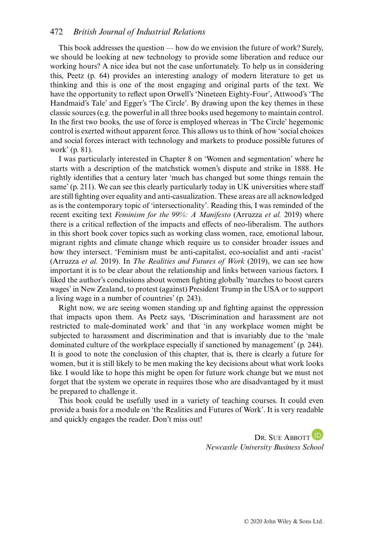#### 472 *British Journal of Industrial Relations*

This book addresses the question — how do we envision the future of work? Surely, we should be looking at new technology to provide some liberation and reduce our working hours? A nice idea but not the case unfortunately. To help us in considering this, Peetz (p. 64) provides an interesting analogy of modern literature to get us thinking and this is one of the most engaging and original parts of the text. We have the opportunity to reflect upon Orwell's 'Nineteen Eighty-Four', Attwood's 'The Handmaid's Tale' and Egger's 'The Circle'. By drawing upon the key themes in these classic sources (e.g. the powerful in all three books used hegemony to maintain control. In the first two books, the use of force is employed whereas in 'The Circle' hegemonic control is exerted without apparent force. This allows us to think of how 'social choices and social forces interact with technology and markets to produce possible futures of work' (p. 81).

I was particularly interested in Chapter 8 on 'Women and segmentation' where he starts with a description of the matchstick women's dispute and strike in 1888. He rightly identifies that a century later 'much has changed but some things remain the same' (p. 211). We can see this clearly particularly today in UK universities where staff are still fighting over equality and anti-casualization. These areas are all acknowledged as is the contemporary topic of 'intersectionality'. Reading this, I was reminded of the recent exciting text *Feminism for the 99%: A Manifesto* (Arruzza *et al.* 2019) where there is a critical reflection of the impacts and effects of neo-liberalism. The authors in this short book cover topics such as working class women, race, emotional labour, migrant rights and climate change which require us to consider broader issues and how they intersect. 'Feminism must be anti-capitalist, eco-socialist and anti -racist' (Arruzza *et al.* 2019). In *The Realities and Futures of Work* (2019), we can see how important it is to be clear about the relationship and links between various factors. I liked the author's conclusions about women fighting globally 'marches to boost carers wages' in New Zealand, to protest (against) President Trump in the USA or to support a living wage in a number of countries' (p. 243).

Right now, we are seeing women standing up and fighting against the oppression that impacts upon them. As Peetz says, 'Discrimination and harassment are not restricted to male-dominated work' and that 'in any workplace women might be subjected to harassment and discrimination and that is invariably due to the 'male dominated culture of the workplace especially if sanctioned by management' (p. 244). It is good to note the conclusion of this chapter, that is, there is clearly a future for women, but it is still likely to be men making the key decisions about what work looks like. I would like to hope this might be open for future work change but we must not forget that the system we operate in requires those who are disadvantaged by it must be prepared to challenge it.

This book could be usefully used in a variety of teaching courses. It could even provide a basis for a module on 'the Realities and Futures of Work'. It is very readable and quickly engages the reader. Don't miss out!

> DR. SUE ABBOTT *Newcastle University Business School*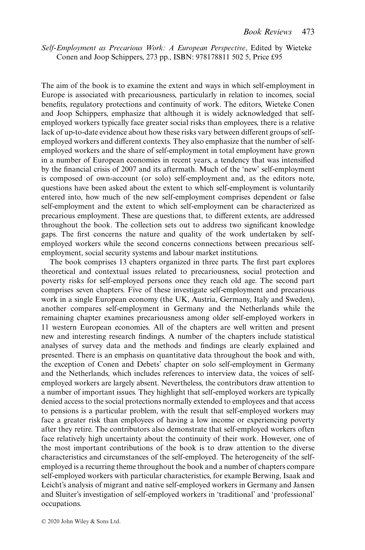*Self-Employment as Precarious Work: A European Perspective*, Edited by Wieteke Conen and Joop Schippers, 273 pp., ISBN: 978178811 502 5, Price £95

The aim of the book is to examine the extent and ways in which self-employment in Europe is associated with precariousness, particularly in relation to incomes, social benefits, regulatory protections and continuity of work. The editors, Wieteke Conen and Joop Schippers, emphasize that although it is widely acknowledged that selfemployed workers typically face greater social risks than employees, there is a relative lack of up-to-date evidence about how these risks vary between different groups of selfemployed workers and different contexts. They also emphasize that the number of selfemployed workers and the share of self-employment in total employment have grown in a number of European economies in recent years, a tendency that was intensified by the financial crisis of 2007 and its aftermath. Much of the 'new' self-employment is composed of own-account (or solo) self-employment and, as the editors note, questions have been asked about the extent to which self-employment is voluntarily entered into, how much of the new self-employment comprises dependent or false self-employment and the extent to which self-employment can be characterized as precarious employment. These are questions that, to different extents, are addressed throughout the book. The collection sets out to address two significant knowledge gaps. The first concerns the nature and quality of the work undertaken by selfemployed workers while the second concerns connections between precarious selfemployment, social security systems and labour market institutions.

The book comprises 13 chapters organized in three parts. The first part explores theoretical and contextual issues related to precariousness, social protection and poverty risks for self-employed persons once they reach old age. The second part comprises seven chapters. Five of these investigate self-employment and precarious work in a single European economy (the UK, Austria, Germany, Italy and Sweden), another compares self-employment in Germany and the Netherlands while the remaining chapter examines precariousness among older self-employed workers in 11 western European economies. All of the chapters are well written and present new and interesting research findings. A number of the chapters include statistical analyses of survey data and the methods and findings are clearly explained and presented. There is an emphasis on quantitative data throughout the book and with, the exception of Conen and Debets' chapter on solo self-employment in Germany and the Netherlands, which includes references to interview data, the voices of selfemployed workers are largely absent. Nevertheless, the contributors draw attention to a number of important issues. They highlight that self-employed workers are typically denied access to the social protections normally extended to employees and that access to pensions is a particular problem, with the result that self-employed workers may face a greater risk than employees of having a low income or experiencing poverty after they retire. The contributors also demonstrate that self-employed workers often face relatively high uncertainty about the continuity of their work. However, one of the most important contributions of the book is to draw attention to the diverse characteristics and circumstances of the self-employed. The heterogeneity of the selfemployed is a recurring theme throughout the book and a number of chapters compare self-employed workers with particular characteristics, for example Berwing, Isaak and Leicht's analysis of migrant and native self-employed workers in Germany and Jansen and Sluiter's investigation of self-employed workers in 'traditional' and 'professional' occupations.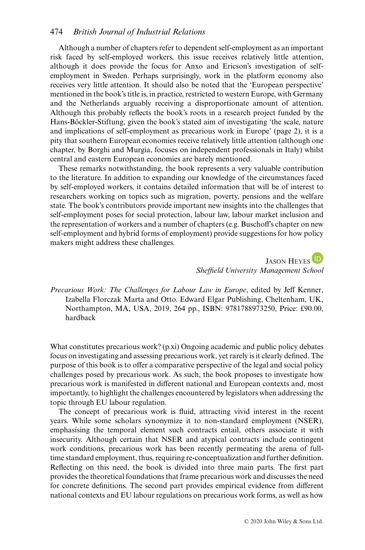## 474 *British Journal of Industrial Relations*

Although a number of chapters refer to dependent self-employment as an important risk faced by self-employed workers, this issue receives relatively little attention, although it does provide the focus for Anxo and Ericson's investigation of selfemployment in Sweden. Perhaps surprisingly, work in the platform economy also receives very little attention. It should also be noted that the 'European perspective' mentioned in the book's title is, in practice, restricted to western Europe, with Germany and the Netherlands arguably receiving a disproportionate amount of attention. Although this probably reflects the book's roots in a research project funded by the Hans-Böckler-Stiftung, given the book's stated aim of investigating 'the scale, nature and implications of self-employment as precarious work in Europe' (page 2), it is a pity that southern European economies receive relatively little attention (although one chapter, by Borghi and Murgia, focuses on independent professionals in Italy) whilst central and eastern European economies are barely mentioned.

These remarks notwithstanding, the book represents a very valuable contribution to the literature. In addition to expanding our knowledge of the circumstances faced by self-employed workers, it contains detailed information that will be of interest to researchers working on topics such as migration, poverty, pensions and the welfare state. The book's contributors provide important new insights into the challenges that self-employment poses for social protection, labour law, labour market inclusion and the representation of workers and a number of chapters (e.g. Buschoff's chapter on new self-employment and hybrid forms of employment) provide suggestions for how policy makers might address these challenges.

> **JASON HEYES** *Sheffield University Management School*

*Precarious Work: The Challenges for Labour Law in Europe*, edited by Jeff Kenner, Izabella Florczak Marta and Otto. Edward Elgar Publishing, Cheltenham, UK, Northampton, MA, USA, 2019, 264 pp., ISBN: 9781788973250, Price: £90.00, hardback

What constitutes precarious work? (p.xi) Ongoing academic and public policy debates focus on investigating and assessing precarious work, yet rarely is it clearly defined. The purpose of this book is to offer a comparative perspective of the legal and social policy challenges posed by precarious work. As such, the book proposes to investigate how precarious work is manifested in different national and European contexts and, most importantly, to highlight the challenges encountered by legislators when addressing the topic through EU labour regulation.

The concept of precarious work is fluid, attracting vivid interest in the recent years. While some scholars synonymize it to non-standard employment (NSER), emphasising the temporal element such contracts entail, others associate it with insecurity. Although certain that NSER and atypical contracts include contingent work conditions, precarious work has been recently permeating the arena of fulltime standard employment, thus, requiring re-conceptualization and further definition. Reflecting on this need, the book is divided into three main parts. The first part provides the theoretical foundations that frame precarious work and discusses the need for concrete definitions. The second part provides empirical evidence from different national contexts and EU labour regulations on precarious work forms, as well as how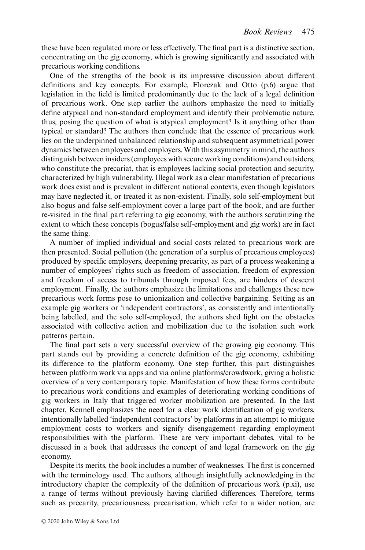these have been regulated more or less effectively. The final part is a distinctive section, concentrating on the gig economy, which is growing significantly and associated with precarious working conditions.

One of the strengths of the book is its impressive discussion about different definitions and key concepts. For example, Florczak and Otto (p.6) argue that legislation in the field is limited predominantly due to the lack of a legal definition of precarious work. One step earlier the authors emphasize the need to initially define atypical and non-standard employment and identify their problematic nature, thus, posing the question of what is atypical employment? Is it anything other than typical or standard? The authors then conclude that the essence of precarious work lies on the underpinned unbalanced relationship and subsequent asymmetrical power dynamics between employees and employers. With this asymmetry in mind, the authors distinguish between insiders (employees with secure working conditions) and outsiders, who constitute the precariat, that is employees lacking social protection and security, characterized by high vulnerability. Illegal work as a clear manifestation of precarious work does exist and is prevalent in different national contexts, even though legislators may have neglected it, or treated it as non-existent. Finally, solo self-employment but also bogus and false self-employment cover a large part of the book, and are further re-visited in the final part referring to gig economy, with the authors scrutinizing the extent to which these concepts (bogus/false self-employment and gig work) are in fact the same thing.

A number of implied individual and social costs related to precarious work are then presented. Social pollution (the generation of a surplus of precarious employees) produced by specific employers, deepening precarity, as part of a process weakening a number of employees' rights such as freedom of association, freedom of expression and freedom of access to tribunals through imposed fees, are hinders of descent employment. Finally, the authors emphasize the limitations and challenges these new precarious work forms pose to unionization and collective bargaining. Setting as an example gig workers or 'independent contractors', as consistently and intentionally being labelled, and the solo self-employed, the authors shed light on the obstacles associated with collective action and mobilization due to the isolation such work patterns pertain.

The final part sets a very successful overview of the growing gig economy. This part stands out by providing a concrete definition of the gig economy, exhibiting its difference to the platform economy. One step further, this part distinguishes between platform work via apps and via online platforms/crowdwork, giving a holistic overview of a very contemporary topic. Manifestation of how these forms contribute to precarious work conditions and examples of deteriorating working conditions of gig workers in Italy that triggered worker mobilization are presented. In the last chapter, Kennell emphasizes the need for a clear work identification of gig workers, intentionally labelled 'independent contractors' by platforms in an attempt to mitigate employment costs to workers and signify disengagement regarding employment responsibilities with the platform. These are very important debates, vital to be discussed in a book that addresses the concept of and legal framework on the gig economy.

Despite its merits, the book includes a number of weaknesses. The first is concerned with the terminology used. The authors, although insightfully acknowledging in the introductory chapter the complexity of the definition of precarious work (p.xi), use a range of terms without previously having clarified differences. Therefore, terms such as precarity, precariousness, precarisation, which refer to a wider notion, are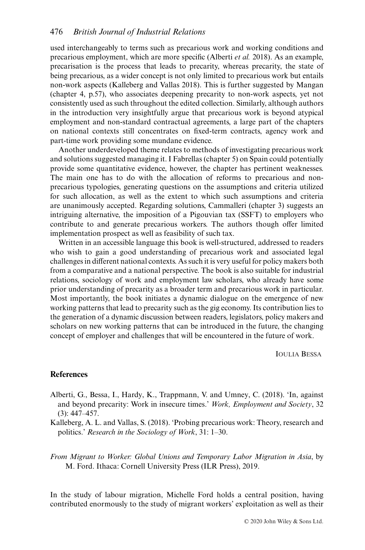used interchangeably to terms such as precarious work and working conditions and precarious employment, which are more specific (Alberti *et al.* 2018). As an example, precarisation is the process that leads to precarity, whereas precarity, the state of being precarious, as a wider concept is not only limited to precarious work but entails non-work aspects (Kalleberg and Vallas 2018). This is further suggested by Mangan (chapter 4, p.57), who associates deepening precarity to non-work aspects, yet not consistently used as such throughout the edited collection. Similarly, although authors in the introduction very insightfully argue that precarious work is beyond atypical employment and non-standard contractual agreements, a large part of the chapters on national contexts still concentrates on fixed-term contracts, agency work and part-time work providing some mundane evidence.

Another underdeveloped theme relates to methods of investigating precarious work and solutions suggested managing it. I Fabrellas (chapter 5) on Spain could potentially provide some quantitative evidence, however, the chapter has pertinent weaknesses. The main one has to do with the allocation of reforms to precarious and nonprecarious typologies, generating questions on the assumptions and criteria utilized for such allocation, as well as the extent to which such assumptions and criteria are unanimously accepted. Regarding solutions, Cammalleri (chapter 3) suggests an intriguing alternative, the imposition of a Pigouvian tax (SSFT) to employers who contribute to and generate precarious workers. The authors though offer limited implementation prospect as well as feasibility of such tax.

Written in an accessible language this book is well-structured, addressed to readers who wish to gain a good understanding of precarious work and associated legal challenges in different national contexts. As such it is very useful for policy makers both from a comparative and a national perspective. The book is also suitable for industrial relations, sociology of work and employment law scholars, who already have some prior understanding of precarity as a broader term and precarious work in particular. Most importantly, the book initiates a dynamic dialogue on the emergence of new working patterns that lead to precarity such as the gig economy. Its contribution lies to the generation of a dynamic discussion between readers, legislators, policy makers and scholars on new working patterns that can be introduced in the future, the changing concept of employer and challenges that will be encountered in the future of work.

IOULIA BESSA

### **References**

- Alberti, G., Bessa, I., Hardy, K., Trappmann, V. and Umney, C. (2018). 'In, against and beyond precarity: Work in insecure times.' *Work, Employment and Society*, 32 (3): 447–457.
- Kalleberg, A. L. and Vallas, S. (2018). 'Probing precarious work: Theory, research and politics.' *Research in the Sociology of Work*, 31: 1–30.
- *From Migrant to Worker: Global Unions and Temporary Labor Migration in Asia*, by M. Ford. Ithaca: Cornell University Press (ILR Press), 2019.

In the study of labour migration, Michelle Ford holds a central position, having contributed enormously to the study of migrant workers' exploitation as well as their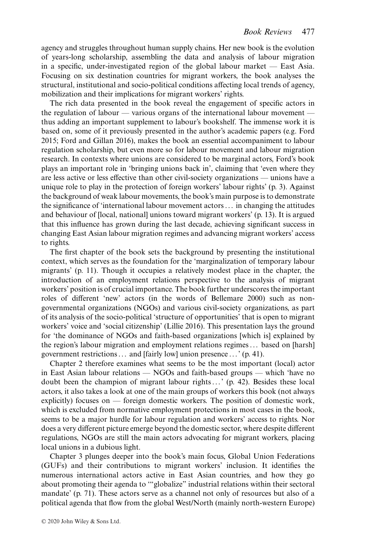agency and struggles throughout human supply chains. Her new book is the evolution of years-long scholarship, assembling the data and analysis of labour migration in a specific, under-investigated region of the global labour market — East Asia. Focusing on six destination countries for migrant workers, the book analyses the structural, institutional and socio-political conditions affecting local trends of agency, mobilization and their implications for migrant workers' rights.

The rich data presented in the book reveal the engagement of specific actors in the regulation of labour — various organs of the international labour movement thus adding an important supplement to labour's bookshelf. The immense work it is based on, some of it previously presented in the author's academic papers (e.g. Ford 2015; Ford and Gillan 2016), makes the book an essential accompaniment to labour regulation scholarship, but even more so for labour movement and labour migration research. In contexts where unions are considered to be marginal actors, Ford's book plays an important role in 'bringing unions back in', claiming that 'even where they are less active or less effective than other civil-society organizations — unions have a unique role to play in the protection of foreign workers' labour rights' (p. 3). Against the background of weak labour movements, the book's main purpose is to demonstrate the significance of 'international labour movement actors ... in changing the attitudes and behaviour of [local, national] unions toward migrant workers' (p. 13). It is argued that this influence has grown during the last decade, achieving significant success in changing East Asian labour migration regimes and advancing migrant workers' access to rights.

The first chapter of the book sets the background by presenting the institutional context, which serves as the foundation for the 'marginalization of temporary labour migrants' (p. 11). Though it occupies a relatively modest place in the chapter, the introduction of an employment relations perspective to the analysis of migrant workers' position is of crucial importance. The book further underscores the important roles of different 'new' actors (in the words of Bellemare 2000) such as nongovernmental organizations (NGOs) and various civil-society organizations, as part of its analysis of the socio-political 'structure of opportunities' that is open to migrant workers' voice and 'social citizenship' (Lillie 2016). This presentation lays the ground for 'the dominance of NGOs and faith-based organizations [which is] explained by the region's labour migration and employment relations regimes ... based on [harsh] government restrictions ... and [fairly low] union presence ...' (p. 41).

Chapter 2 therefore examines what seems to be the most important (local) actor in East Asian labour relations — NGOs and faith-based groups — which 'have no doubt been the champion of migrant labour rights...' (p. 42). Besides these local actors, it also takes a look at one of the main groups of workers this book (not always explicitly) focuses on — foreign domestic workers. The position of domestic work, which is excluded from normative employment protections in most cases in the book, seems to be a major hurdle for labour regulation and workers' access to rights. Nor does a very different picture emerge beyond the domestic sector, where despite different regulations, NGOs are still the main actors advocating for migrant workers, placing local unions in a dubious light.

Chapter 3 plunges deeper into the book's main focus, Global Union Federations (GUFs) and their contributions to migrant workers' inclusion. It identifies the numerous international actors active in East Asian countries, and how they go about promoting their agenda to '"globalize" industrial relations within their sectoral mandate' (p. 71). These actors serve as a channel not only of resources but also of a political agenda that flow from the global West/North (mainly north-western Europe)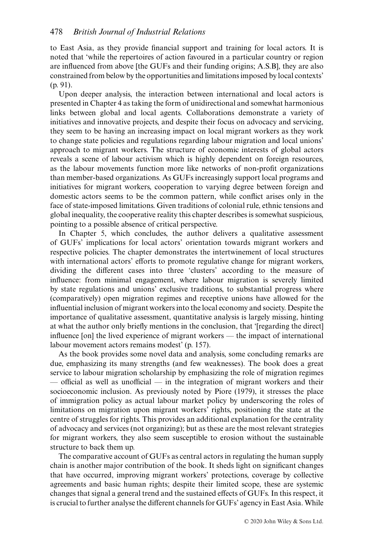to East Asia, as they provide financial support and training for local actors. It is noted that 'while the repertoires of action favoured in a particular country or region are influenced from above [the GUFs and their funding origins; A.S.B], they are also constrained from below by the opportunities and limitations imposed by local contexts' (p. 91).

Upon deeper analysis, the interaction between international and local actors is presented in Chapter 4 as taking the form of unidirectional and somewhat harmonious links between global and local agents. Collaborations demonstrate a variety of initiatives and innovative projects, and despite their focus on advocacy and servicing, they seem to be having an increasing impact on local migrant workers as they work to change state policies and regulations regarding labour migration and local unions' approach to migrant workers. The structure of economic interests of global actors reveals a scene of labour activism which is highly dependent on foreign resources, as the labour movements function more like networks of non-profit organizations than member-based organizations. As GUFs increasingly support local programs and initiatives for migrant workers, cooperation to varying degree between foreign and domestic actors seems to be the common pattern, while conflict arises only in the face of state-imposed limitations. Given traditions of colonial rule, ethnic tensions and global inequality, the cooperative reality this chapter describes is somewhat suspicious, pointing to a possible absence of critical perspective.

In Chapter 5, which concludes, the author delivers a qualitative assessment of GUFs' implications for local actors' orientation towards migrant workers and respective policies. The chapter demonstrates the intertwinement of local structures with international actors' efforts to promote regulative change for migrant workers, dividing the different cases into three 'clusters' according to the measure of influence: from minimal engagement, where labour migration is severely limited by state regulations and unions' exclusive traditions, to substantial progress where (comparatively) open migration regimes and receptive unions have allowed for the influential inclusion of migrant workers into the local economy and society. Despite the importance of qualitative assessment, quantitative analysis is largely missing, hinting at what the author only briefly mentions in the conclusion, that '[regarding the direct] influence [on] the lived experience of migrant workers — the impact of international labour movement actors remains modest' (p. 157).

As the book provides some novel data and analysis, some concluding remarks are due, emphasizing its many strengths (and few weaknesses). The book does a great service to labour migration scholarship by emphasizing the role of migration regimes  $-$  official as well as unofficial  $-$  in the integration of migrant workers and their socioeconomic inclusion. As previously noted by Piore (1979), it stresses the place of immigration policy as actual labour market policy by underscoring the roles of limitations on migration upon migrant workers' rights, positioning the state at the centre of struggles for rights. This provides an additional explanation for the centrality of advocacy and services (not organizing); but as these are the most relevant strategies for migrant workers, they also seem susceptible to erosion without the sustainable structure to back them up.

The comparative account of GUFs as central actors in regulating the human supply chain is another major contribution of the book. It sheds light on significant changes that have occurred, improving migrant workers' protections, coverage by collective agreements and basic human rights; despite their limited scope, these are systemic changes that signal a general trend and the sustained effects of GUFs. In this respect, it is crucial to further analyse the different channels for GUFs' agency in East Asia. While